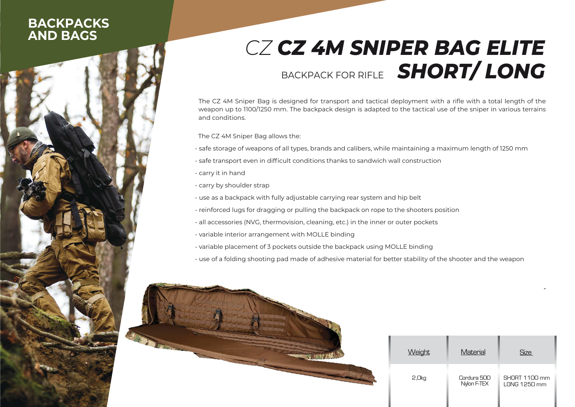## **BACKPACKSAND BAGS**

## *CZ CZ 4M SNIPER BAG ELITE*BACKPACK FOR RIFLE SHUK I/ LUN' *SHORT/ LONG*

The CZ 4M Sniper Bag is designed for transport and tactical deployment with a rifle with a total length of the weapon up to 1100/1250 mm. The backpack design is adapted to the tactical use of the sniper in various terrains and conditions.

The CZ 4M Sniper Bag allows the:

- safe storage of weapons of all types, brands and calibers, while maintaining a maximum length of 1250 mm
- safe transport even in difficult conditions thanks to sandwich wall construction
- carry it in hand
- carry by shoulder strap
- use as a backpack with fully adjustable carrying rear system and hip belt
- reinforced lugs for dragging or pulling the backpack on rope to the shooters position
- all accessories (NVG, thermovision, cleaning, etc.) in the inner or outer pockets
- variable interior arrangement with MOLLE binding
- variable placement of 3 pockets outside the backpack using MOLLE binding
- use of a folding shooting pad made of adhesive material for better stability of the shooter and the weapon



| <b>Weight</b> | Material                   | Size                          |
|---------------|----------------------------|-------------------------------|
| 2,0kg         | Cordura 500<br>Nylon F-TEX | SHORT 1100 mm<br>LONG 1250 mm |